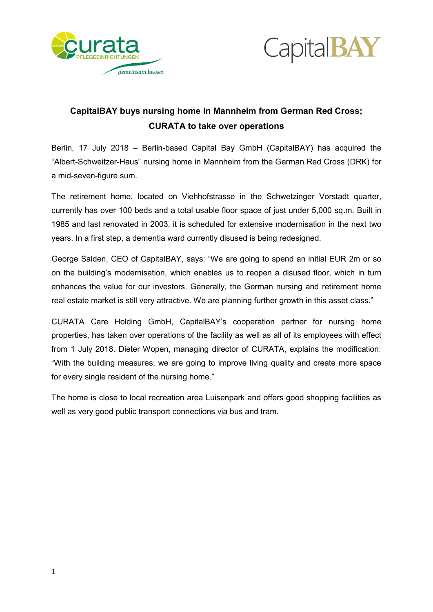



# **CapitalBAY buys nursing home in Mannheim from German Red Cross; CURATA to take over operations**

Berlin, 17 July 2018 – Berlin-based Capital Bay GmbH (CapitalBAY) has acquired the "Albert-Schweitzer-Haus" nursing home in Mannheim from the German Red Cross (DRK) for a mid-seven-figure sum.

The retirement home, located on Viehhofstrasse in the Schwetzinger Vorstadt quarter, currently has over 100 beds and a total usable floor space of just under 5,000 sq.m. Built in 1985 and last renovated in 2003, it is scheduled for extensive modernisation in the next two years. In a first step, a dementia ward currently disused is being redesigned.

George Salden, CEO of CapitalBAY, says: "We are going to spend an initial EUR 2m or so on the building's modernisation, which enables us to reopen a disused floor, which in turn enhances the value for our investors. Generally, the German nursing and retirement home real estate market is still very attractive. We are planning further growth in this asset class."

CURATA Care Holding GmbH, CapitalBAY's cooperation partner for nursing home properties, has taken over operations of the facility as well as all of its employees with effect from 1 July 2018. Dieter Wopen, managing director of CURATA, explains the modification: "With the building measures, we are going to improve living quality and create more space for every single resident of the nursing home."

The home is close to local recreation area Luisenpark and offers good shopping facilities as well as very good public transport connections via bus and tram.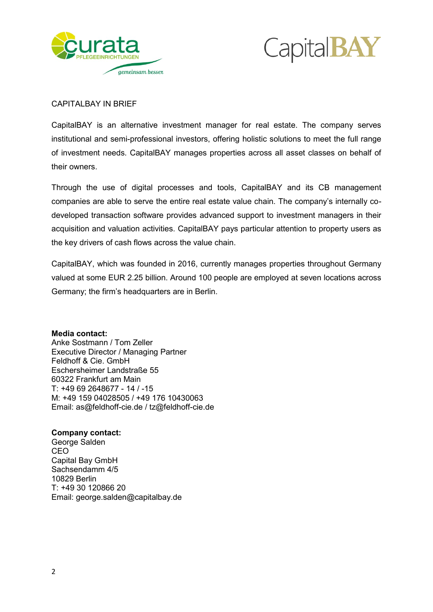



## CAPITALBAY IN BRIEF

CapitalBAY is an alternative investment manager for real estate. The company serves institutional and semi-professional investors, offering holistic solutions to meet the full range of investment needs. CapitalBAY manages properties across all asset classes on behalf of their owners.

Through the use of digital processes and tools, CapitalBAY and its CB management companies are able to serve the entire real estate value chain. The company's internally codeveloped transaction software provides advanced support to investment managers in their acquisition and valuation activities. CapitalBAY pays particular attention to property users as the key drivers of cash flows across the value chain.

CapitalBAY, which was founded in 2016, currently manages properties throughout Germany valued at some EUR 2.25 billion. Around 100 people are employed at seven locations across Germany; the firm's headquarters are in Berlin.

#### **Media contact:**

Anke Sostmann / Tom Zeller Executive Director / Managing Partner Feldhoff & Cie. GmbH Eschersheimer Landstraße 55 60322 Frankfurt am Main T: +49 69 2648677 - 14 / -15 M: +49 159 04028505 / +49 176 10430063 Email: as@feldhoff-cie.de / tz@feldhoff-cie.de

#### **Company contact:**

George Salden CEO Capital Bay GmbH Sachsendamm 4/5 10829 Berlin T: +49 30 120866 20 Email: george.salden@capitalbay.de